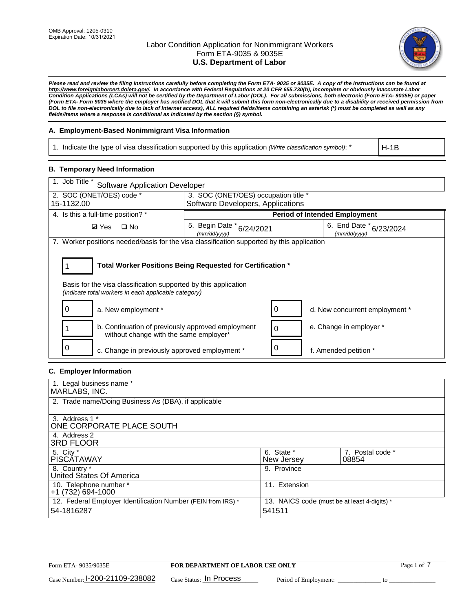

*Please read and review the filing instructions carefully before completing the Form ETA- 9035 or 9035E. A copy of the instructions can be found at [http://www.foreignlaborcert.doleta.gov/.](http://www.foreignlaborcert.doleta.gov/) In accordance with Federal Regulations at 20 CFR 655.730(b), incomplete or obviously inaccurate Labor Condition Applications (LCAs) will not be certified by the Department of Labor (DOL). For all submissions, both electronic (Form ETA- 9035E) or paper (Form ETA- Form 9035 where the employer has notified DOL that it will submit this form non-electronically due to a disability or received permission from DOL to file non-electronically due to lack of Internet access), ALL required fields/items containing an asterisk (\*) must be completed as well as any fields/items where a response is conditional as indicated by the section (§) symbol.* 

### **A. Employment-Based Nonimmigrant Visa Information**

1. Indicate the type of visa classification supported by this application *(Write classification symbol)*: \*

H-1B

### **B. Temporary Need Information**

| 1. Job Title *<br><b>Software Application Developer</b>                                                                                                                               |                                               |   |                                             |  |  |
|---------------------------------------------------------------------------------------------------------------------------------------------------------------------------------------|-----------------------------------------------|---|---------------------------------------------|--|--|
| 2. SOC (ONET/OES) code *                                                                                                                                                              | 3. SOC (ONET/OES) occupation title *          |   |                                             |  |  |
| 15-1132.00                                                                                                                                                                            | Software Developers, Applications             |   |                                             |  |  |
| 4. Is this a full-time position? *                                                                                                                                                    | <b>Period of Intended Employment</b>          |   |                                             |  |  |
| <b>Ø</b> Yes<br>$\square$ No                                                                                                                                                          | 5. Begin Date $*_{6/24/2021}$<br>(mm/dd/vvvv) |   | 6. End Date $*_{6/23/2024}$<br>(mm/dd/vvvv) |  |  |
| 7. Worker positions needed/basis for the visa classification supported by this application                                                                                            |                                               |   |                                             |  |  |
| Total Worker Positions Being Requested for Certification *<br>Basis for the visa classification supported by this application<br>(indicate total workers in each applicable category) |                                               |   |                                             |  |  |
| a. New employment *                                                                                                                                                                   |                                               |   | d. New concurrent employment *              |  |  |
| b. Continuation of previously approved employment<br>without change with the same employer*                                                                                           |                                               | 0 | e. Change in employer *                     |  |  |
| c. Change in previously approved employment *                                                                                                                                         |                                               |   | f. Amended petition *                       |  |  |

### **C. Employer Information**

| 1. Legal business name *                                     |                                              |                  |
|--------------------------------------------------------------|----------------------------------------------|------------------|
| MARLABS, INC.                                                |                                              |                  |
| 2. Trade name/Doing Business As (DBA), if applicable         |                                              |                  |
|                                                              |                                              |                  |
| 3. Address 1 *                                               |                                              |                  |
| ONE CORPORATE PLACE SOUTH                                    |                                              |                  |
| 4. Address 2                                                 |                                              |                  |
| <b>3RD FLOOR</b>                                             |                                              |                  |
| 5. City *                                                    | 6. State *                                   | 7. Postal code * |
| PISCÁTAWAY                                                   | New Jersey                                   | 08854            |
| 8. Country *                                                 | 9. Province                                  |                  |
| United States Of America                                     |                                              |                  |
| 10. Telephone number *                                       | 11. Extension                                |                  |
| +1 (732) 694-1000                                            |                                              |                  |
| 12. Federal Employer Identification Number (FEIN from IRS) * | 13. NAICS code (must be at least 4-digits) * |                  |
| 54-1816287                                                   | 541511                                       |                  |
|                                                              |                                              |                  |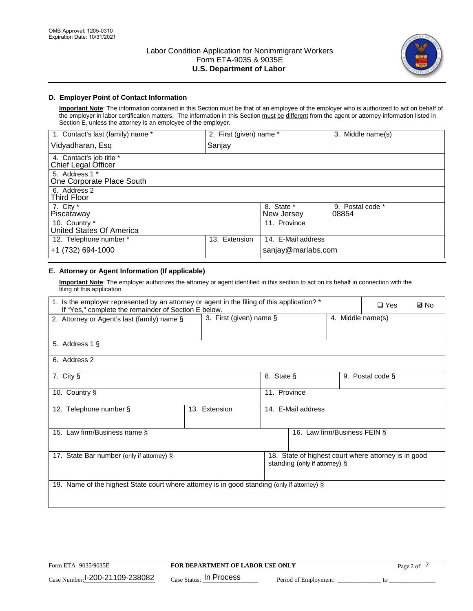

## **D. Employer Point of Contact Information**

**Important Note**: The information contained in this Section must be that of an employee of the employer who is authorized to act on behalf of the employer in labor certification matters. The information in this Section must be different from the agent or attorney information listed in Section E, unless the attorney is an employee of the employer.

| 1. Contact's last (family) name *               | 2. First (given) name * |                          | 3. Middle name(s)         |
|-------------------------------------------------|-------------------------|--------------------------|---------------------------|
| Vidyadharan, Esq                                | Sanjay                  |                          |                           |
| 4. Contact's job title *<br>Chief Legal Officer |                         |                          |                           |
| 5. Address 1 *<br>One Corporate Place South     |                         |                          |                           |
| 6. Address 2<br><b>Third Floor</b>              |                         |                          |                           |
| 7. City $*$<br>Piscataway                       |                         | 8. State *<br>New Jersey | 9. Postal code *<br>08854 |
| 10. Country *<br>United States Of America       |                         | 11. Province             |                           |
| 12. Telephone number *                          | Extension<br>13.        | 14. E-Mail address       |                           |
| +1 (732) 694-1000                               |                         | sanjay@marlabs.com       |                           |

# **E. Attorney or Agent Information (If applicable)**

**Important Note**: The employer authorizes the attorney or agent identified in this section to act on its behalf in connection with the filing of this application.

| 1. Is the employer represented by an attorney or agent in the filing of this application? *<br>If "Yes," complete the remainder of Section E below. |                         |              |                               |                   | $\square$ Yes                                        | <b>ØNo</b> |
|-----------------------------------------------------------------------------------------------------------------------------------------------------|-------------------------|--------------|-------------------------------|-------------------|------------------------------------------------------|------------|
| 2. Attorney or Agent's last (family) name §                                                                                                         | 3. First (given) name § |              |                               | 4. Middle name(s) |                                                      |            |
| 5. Address 1 §                                                                                                                                      |                         |              |                               |                   |                                                      |            |
| 6. Address 2                                                                                                                                        |                         |              |                               |                   |                                                      |            |
| 7. City §                                                                                                                                           |                         | 8. State §   |                               |                   | 9. Postal code §                                     |            |
| 10. Country §                                                                                                                                       |                         | 11. Province |                               |                   |                                                      |            |
| 12. Telephone number §                                                                                                                              | 13. Extension           |              | 14. E-Mail address            |                   |                                                      |            |
| 15. Law firm/Business name §                                                                                                                        |                         |              | 16. Law firm/Business FEIN §  |                   |                                                      |            |
| 17. State Bar number (only if attorney) §                                                                                                           |                         |              | standing (only if attorney) § |                   | 18. State of highest court where attorney is in good |            |
| 19. Name of the highest State court where attorney is in good standing (only if attorney) §                                                         |                         |              |                               |                   |                                                      |            |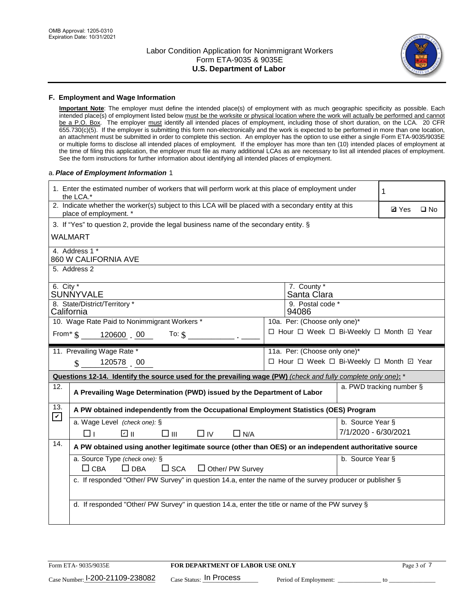

#### **F. Employment and Wage Information**

**Important Note**: The employer must define the intended place(s) of employment with as much geographic specificity as possible. Each intended place(s) of employment listed below must be the worksite or physical location where the work will actually be performed and cannot be a P.O. Box. The employer must identify all intended places of employment, including those of short duration, on the LCA. 20 CFR 655.730(c)(5). If the employer is submitting this form non-electronically and the work is expected to be performed in more than one location, an attachment must be submitted in order to complete this section. An employer has the option to use either a single Form ETA-9035/9035E or multiple forms to disclose all intended places of employment. If the employer has more than ten (10) intended places of employment at the time of filing this application, the employer must file as many additional LCAs as are necessary to list all intended places of employment. See the form instructions for further information about identifying all intended places of employment.

#### a.*Place of Employment Information* 1

|                                                                              | 1. Enter the estimated number of workers that will perform work at this place of employment under<br>the LCA.*                 |  | 1                                        |                      |                          |              |  |
|------------------------------------------------------------------------------|--------------------------------------------------------------------------------------------------------------------------------|--|------------------------------------------|----------------------|--------------------------|--------------|--|
|                                                                              | 2. Indicate whether the worker(s) subject to this LCA will be placed with a secondary entity at this<br>place of employment. * |  |                                          |                      | <b>Ø</b> Yes             | $\square$ No |  |
|                                                                              | 3. If "Yes" to question 2, provide the legal business name of the secondary entity. §                                          |  |                                          |                      |                          |              |  |
|                                                                              | WALMART                                                                                                                        |  |                                          |                      |                          |              |  |
|                                                                              | 4. Address 1 *<br>860 W CALIFORNIA AVE                                                                                         |  |                                          |                      |                          |              |  |
|                                                                              | 5. Address 2                                                                                                                   |  |                                          |                      |                          |              |  |
| 6. City $*$                                                                  | SUNNYVALE                                                                                                                      |  | 7. County *<br>Santa Clara               |                      |                          |              |  |
|                                                                              | 8. State/District/Territory *<br>9. Postal code *<br>California<br>94086                                                       |  |                                          |                      |                          |              |  |
| 10. Wage Rate Paid to Nonimmigrant Workers *<br>10a. Per: (Choose only one)* |                                                                                                                                |  |                                          |                      |                          |              |  |
|                                                                              | □ Hour □ Week □ Bi-Weekly □ Month ☑ Year<br>From* \$120600 00<br>To: $$$                                                       |  |                                          |                      |                          |              |  |
|                                                                              | 11. Prevailing Wage Rate *<br>11a. Per: (Choose only one)*                                                                     |  |                                          |                      |                          |              |  |
|                                                                              | 120578 00<br>$\mathbb{S}$                                                                                                      |  | □ Hour □ Week □ Bi-Weekly □ Month 回 Year |                      |                          |              |  |
|                                                                              | Questions 12-14. Identify the source used for the prevailing wage (PW) (check and fully complete only one): *                  |  |                                          |                      |                          |              |  |
| 12.                                                                          | A Prevailing Wage Determination (PWD) issued by the Department of Labor                                                        |  |                                          |                      | a. PWD tracking number § |              |  |
| 13.<br>$\mathbf{v}$                                                          | A PW obtained independently from the Occupational Employment Statistics (OES) Program                                          |  |                                          |                      |                          |              |  |
|                                                                              | a. Wage Level (check one): §                                                                                                   |  |                                          | b. Source Year §     |                          |              |  |
|                                                                              | ☑ ⊪<br>$\square$ $\square$<br>$\Box$ IV<br>$\Box$ N/A<br>□⊥                                                                    |  |                                          | 7/1/2020 - 6/30/2021 |                          |              |  |
| 14.                                                                          | A PW obtained using another legitimate source (other than OES) or an independent authoritative source                          |  |                                          |                      |                          |              |  |
|                                                                              | a. Source Type (check one): §                                                                                                  |  |                                          | b. Source Year §     |                          |              |  |
|                                                                              | $\Box$ CBA<br>$\Box$ DBA<br>$\square$ SCA<br>$\Box$ Other/ PW Survey                                                           |  |                                          |                      |                          |              |  |
|                                                                              | c. If responded "Other/ PW Survey" in question 14.a, enter the name of the survey producer or publisher §                      |  |                                          |                      |                          |              |  |
|                                                                              |                                                                                                                                |  |                                          |                      |                          |              |  |
|                                                                              | d. If responded "Other/ PW Survey" in question 14.a, enter the title or name of the PW survey §                                |  |                                          |                      |                          |              |  |
|                                                                              |                                                                                                                                |  |                                          |                      |                          |              |  |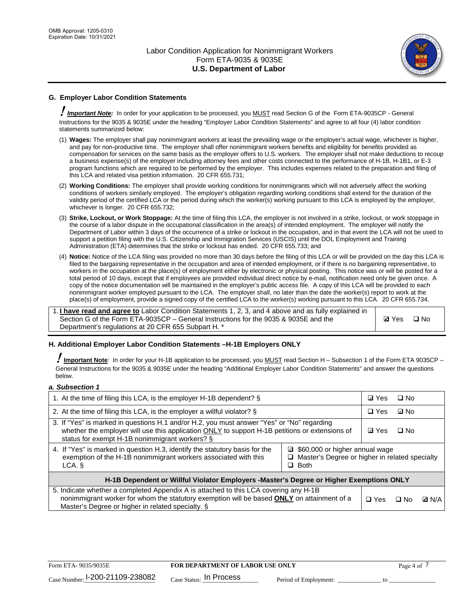

## **G. Employer Labor Condition Statements**

! *Important Note:* In order for your application to be processed, you MUST read Section G of the Form ETA-9035CP - General Instructions for the 9035 & 9035E under the heading "Employer Labor Condition Statements" and agree to all four (4) labor condition statements summarized below:

- (1) **Wages:** The employer shall pay nonimmigrant workers at least the prevailing wage or the employer's actual wage, whichever is higher, and pay for non-productive time. The employer shall offer nonimmigrant workers benefits and eligibility for benefits provided as compensation for services on the same basis as the employer offers to U.S. workers. The employer shall not make deductions to recoup a business expense(s) of the employer including attorney fees and other costs connected to the performance of H-1B, H-1B1, or E-3 program functions which are required to be performed by the employer. This includes expenses related to the preparation and filing of this LCA and related visa petition information. 20 CFR 655.731;
- (2) **Working Conditions:** The employer shall provide working conditions for nonimmigrants which will not adversely affect the working conditions of workers similarly employed. The employer's obligation regarding working conditions shall extend for the duration of the validity period of the certified LCA or the period during which the worker(s) working pursuant to this LCA is employed by the employer, whichever is longer. 20 CFR 655.732;
- (3) **Strike, Lockout, or Work Stoppage:** At the time of filing this LCA, the employer is not involved in a strike, lockout, or work stoppage in the course of a labor dispute in the occupational classification in the area(s) of intended employment. The employer will notify the Department of Labor within 3 days of the occurrence of a strike or lockout in the occupation, and in that event the LCA will not be used to support a petition filing with the U.S. Citizenship and Immigration Services (USCIS) until the DOL Employment and Training Administration (ETA) determines that the strike or lockout has ended. 20 CFR 655.733; and
- (4) **Notice:** Notice of the LCA filing was provided no more than 30 days before the filing of this LCA or will be provided on the day this LCA is filed to the bargaining representative in the occupation and area of intended employment, or if there is no bargaining representative, to workers in the occupation at the place(s) of employment either by electronic or physical posting. This notice was or will be posted for a total period of 10 days, except that if employees are provided individual direct notice by e-mail, notification need only be given once. A copy of the notice documentation will be maintained in the employer's public access file. A copy of this LCA will be provided to each nonimmigrant worker employed pursuant to the LCA. The employer shall, no later than the date the worker(s) report to work at the place(s) of employment, provide a signed copy of the certified LCA to the worker(s) working pursuant to this LCA. 20 CFR 655.734.

1. **I have read and agree to** Labor Condition Statements 1, 2, 3, and 4 above and as fully explained in Section G of the Form ETA-9035CP – General Instructions for the 9035 & 9035E and the Department's regulations at 20 CFR 655 Subpart H. \*

**Ø**Yes ロNo

### **H. Additional Employer Labor Condition Statements –H-1B Employers ONLY**

!**Important Note***:* In order for your H-1B application to be processed, you MUST read Section H – Subsection 1 of the Form ETA 9035CP – General Instructions for the 9035 & 9035E under the heading "Additional Employer Labor Condition Statements" and answer the questions below.

#### *a. Subsection 1*

| 1. At the time of filing this LCA, is the employer H-1B dependent? §                                                                                                                                                                                               | ⊡ Yes      | $\Box$ No |              |  |
|--------------------------------------------------------------------------------------------------------------------------------------------------------------------------------------------------------------------------------------------------------------------|------------|-----------|--------------|--|
| 2. At the time of filing this LCA, is the employer a willful violator? $\S$                                                                                                                                                                                        |            |           | ⊡ No         |  |
| 3. If "Yes" is marked in questions H.1 and/or H.2, you must answer "Yes" or "No" regarding<br>whether the employer will use this application ONLY to support H-1B petitions or extensions of<br>status for exempt H-1B nonimmigrant workers? §                     |            |           | $\Box$ No    |  |
| 4. If "Yes" is marked in question H.3, identify the statutory basis for the<br>□ \$60,000 or higher annual wage<br>exemption of the H-1B nonimmigrant workers associated with this<br>$\Box$ Master's Degree or higher in related specialty<br>$\Box$ Both<br>LCA. |            |           |              |  |
| H-1B Dependent or Willful Violator Employers -Master's Degree or Higher Exemptions ONLY                                                                                                                                                                            |            |           |              |  |
| 5. Indicate whether a completed Appendix A is attached to this LCA covering any H-1B<br>nonimmigrant worker for whom the statutory exemption will be based <b>ONLY</b> on attainment of a<br>Master's Degree or higher in related specialty. §                     | $\Box$ Yes | ⊡ No      | <b>D</b> N/A |  |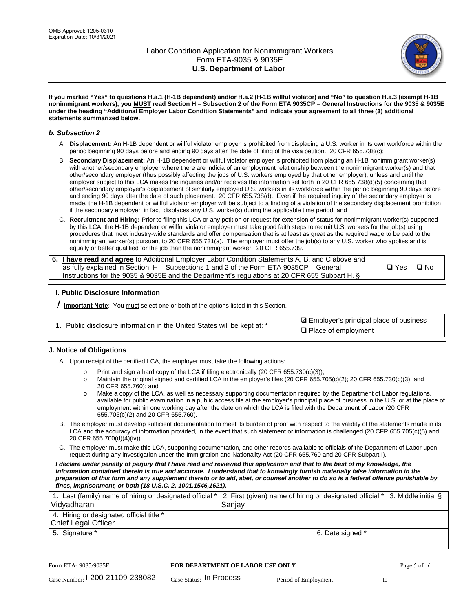

**If you marked "Yes" to questions H.a.1 (H-1B dependent) and/or H.a.2 (H-1B willful violator) and "No" to question H.a.3 (exempt H-1B nonimmigrant workers), you MUST read Section H – Subsection 2 of the Form ETA 9035CP – General Instructions for the 9035 & 9035E under the heading "Additional Employer Labor Condition Statements" and indicate your agreement to all three (3) additional statements summarized below.**

#### *b. Subsection 2*

- A. **Displacement:** An H-1B dependent or willful violator employer is prohibited from displacing a U.S. worker in its own workforce within the period beginning 90 days before and ending 90 days after the date of filing of the visa petition. 20 CFR 655.738(c);
- B. **Secondary Displacement:** An H-1B dependent or willful violator employer is prohibited from placing an H-1B nonimmigrant worker(s) with another/secondary employer where there are indicia of an employment relationship between the nonimmigrant worker(s) and that other/secondary employer (thus possibly affecting the jobs of U.S. workers employed by that other employer), unless and until the employer subject to this LCA makes the inquiries and/or receives the information set forth in 20 CFR 655.738(d)(5) concerning that other/secondary employer's displacement of similarly employed U.S. workers in its workforce within the period beginning 90 days before and ending 90 days after the date of such placement. 20 CFR 655.738(d). Even if the required inquiry of the secondary employer is made, the H-1B dependent or willful violator employer will be subject to a finding of a violation of the secondary displacement prohibition if the secondary employer, in fact, displaces any U.S. worker(s) during the applicable time period; and
- C. **Recruitment and Hiring:** Prior to filing this LCA or any petition or request for extension of status for nonimmigrant worker(s) supported by this LCA, the H-1B dependent or willful violator employer must take good faith steps to recruit U.S. workers for the job(s) using procedures that meet industry-wide standards and offer compensation that is at least as great as the required wage to be paid to the nonimmigrant worker(s) pursuant to 20 CFR 655.731(a). The employer must offer the job(s) to any U.S. worker who applies and is equally or better qualified for the job than the nonimmigrant worker. 20 CFR 655.739.

| 6. I have read and agree to Additional Employer Labor Condition Statements A, B, and C above and |       |           |
|--------------------------------------------------------------------------------------------------|-------|-----------|
| as fully explained in Section H – Subsections 1 and 2 of the Form ETA 9035CP – General           | □ Yes | $\Box$ No |
| Instructions for the 9035 & 9035E and the Department's regulations at 20 CFR 655 Subpart H. §    |       |           |

### **I. Public Disclosure Information**

! **Important Note***:* You must select one or both of the options listed in this Section.

| 1. Public disclosure information in the United States will be kept at: * |  |  |  |  |  |  |  |
|--------------------------------------------------------------------------|--|--|--|--|--|--|--|
|--------------------------------------------------------------------------|--|--|--|--|--|--|--|

**sqrt** Employer's principal place of business □ Place of employment

### **J. Notice of Obligations**

A. Upon receipt of the certified LCA, the employer must take the following actions:

- o Print and sign a hard copy of the LCA if filing electronically (20 CFR 655.730(c)(3));<br>
Maintain the original signed and certified LCA in the employer's files (20 CFR 655.7
- Maintain the original signed and certified LCA in the employer's files (20 CFR 655.705(c)(2); 20 CFR 655.730(c)(3); and 20 CFR 655.760); and
- o Make a copy of the LCA, as well as necessary supporting documentation required by the Department of Labor regulations, available for public examination in a public access file at the employer's principal place of business in the U.S. or at the place of employment within one working day after the date on which the LCA is filed with the Department of Labor (20 CFR 655.705(c)(2) and 20 CFR 655.760).
- B. The employer must develop sufficient documentation to meet its burden of proof with respect to the validity of the statements made in its LCA and the accuracy of information provided, in the event that such statement or information is challenged (20 CFR 655.705(c)(5) and 20 CFR 655.700(d)(4)(iv)).
- C. The employer must make this LCA, supporting documentation, and other records available to officials of the Department of Labor upon request during any investigation under the Immigration and Nationality Act (20 CFR 655.760 and 20 CFR Subpart I).

*I declare under penalty of perjury that I have read and reviewed this application and that to the best of my knowledge, the*  information contained therein is true and accurate. I understand that to knowingly furnish materially false information in the *preparation of this form and any supplement thereto or to aid, abet, or counsel another to do so is a federal offense punishable by fines, imprisonment, or both (18 U.S.C. 2, 1001,1546,1621).*

| 1. Last (family) name of hiring or designated official *   2. First (given) name of hiring or designated official *   3. Middle initial §<br>Vidyadharan | Saniav           |  |
|----------------------------------------------------------------------------------------------------------------------------------------------------------|------------------|--|
| 4. Hiring or designated official title *<br>Chief Legal Officer                                                                                          |                  |  |
| 5. Signature *                                                                                                                                           | 6. Date signed * |  |

| Form ETA-9035/9035E                         | FOR DEPARTMENT OF LABOR USE ONLY   | Page 5 of 7           |  |
|---------------------------------------------|------------------------------------|-----------------------|--|
| $_{\text{Case Number:}}$ I-200-21109-238082 | $_{\rm Case~S status:}$ In Process | Period of Employment: |  |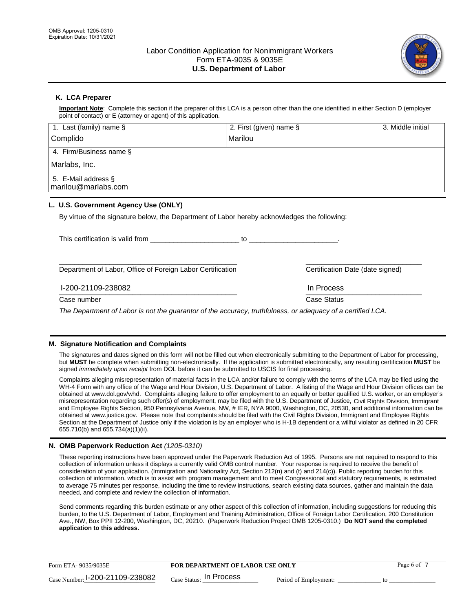

## **K. LCA Preparer**

**Important Note**: Complete this section if the preparer of this LCA is a person other than the one identified in either Section D (employer point of contact) or E (attorney or agent) of this application.

| 1. Last (family) name $\S$                                                                   | 2. First (given) name §                                                                                                                                                                                                        | 3. Middle initial                |
|----------------------------------------------------------------------------------------------|--------------------------------------------------------------------------------------------------------------------------------------------------------------------------------------------------------------------------------|----------------------------------|
| Complido                                                                                     | Marilou                                                                                                                                                                                                                        |                                  |
| 4. Firm/Business name §                                                                      |                                                                                                                                                                                                                                |                                  |
| Marlabs, Inc.                                                                                |                                                                                                                                                                                                                                |                                  |
| 5. E-Mail address §<br>marilou@marlabs.com                                                   |                                                                                                                                                                                                                                |                                  |
| L. U.S. Government Agency Use (ONLY)                                                         |                                                                                                                                                                                                                                |                                  |
| By virtue of the signature below, the Department of Labor hereby acknowledges the following: |                                                                                                                                                                                                                                |                                  |
|                                                                                              | to the contract of the contract of the contract of the contract of the contract of the contract of the contract of the contract of the contract of the contract of the contract of the contract of the contract of the contrac |                                  |
| Department of Labor, Office of Foreign Labor Certification                                   |                                                                                                                                                                                                                                | Certification Date (date signed) |
| 1-200-21109-238082                                                                           | In Process                                                                                                                                                                                                                     |                                  |

\_\_\_\_\_\_\_\_\_\_\_\_\_\_\_\_\_\_\_\_\_\_\_\_\_\_\_\_\_\_\_\_\_\_\_\_\_\_\_\_\_\_\_\_\_\_ \_\_\_\_\_\_\_\_\_\_\_\_\_\_\_\_\_\_\_\_\_\_\_\_\_\_\_\_\_\_

Case number **Case Status** Case Status **Case Status** 

*The Department of Labor is not the guarantor of the accuracy, truthfulness, or adequacy of a certified LCA.*

### **M. Signature Notification and Complaints**

The signatures and dates signed on this form will not be filled out when electronically submitting to the Department of Labor for processing, but **MUST** be complete when submitting non-electronically. If the application is submitted electronically, any resulting certification **MUST** be signed *immediately upon receipt* from DOL before it can be submitted to USCIS for final processing.

Complaints alleging misrepresentation of material facts in the LCA and/or failure to comply with the terms of the LCA may be filed using the WH-4 Form with any office of the Wage and Hour Division, U.S. Department of Labor. A listing of the Wage and Hour Division offices can be obtained at www.dol.gov/whd. Complaints alleging failure to offer employment to an equally or better qualified U.S. worker, or an employer's misrepresentation regarding such offer(s) of employment, may be filed with the U.S. Department of Justice, Civil Rights Division, Immigrant and Employee Rights Section, 950 Pennsylvania Avenue, NW, # IER, NYA 9000, Washington, DC, 20530, and additional information can be obtained at www.justice.gov. Please note that complaints should be filed with the Civil Rights Division, Immigrant and Employee Rights Section at the Department of Justice only if the violation is by an employer who is H-1B dependent or a willful violator as defined in 20 CFR 655.710(b) and 655.734(a)(1)(ii).

### **N. OMB Paperwork Reduction Act** *(1205-0310)*

These reporting instructions have been approved under the Paperwork Reduction Act of 1995. Persons are not required to respond to this collection of information unless it displays a currently valid OMB control number. Your response is required to receive the benefit of consideration of your application. (Immigration and Nationality Act, Section 212(n) and (t) and 214(c)). Public reporting burden for this collection of information, which is to assist with program management and to meet Congressional and statutory requirements, is estimated to average 75 minutes per response, including the time to review instructions, search existing data sources, gather and maintain the data needed, and complete and review the collection of information.

Send comments regarding this burden estimate or any other aspect of this collection of information, including suggestions for reducing this burden, to the U.S. Department of Labor, Employment and Training Administration, Office of Foreign Labor Certification, 200 Constitution Ave., NW, Box PPII 12-200, Washington, DC, 20210. (Paperwork Reduction Project OMB 1205-0310.) **Do NOT send the completed application to this address.**

| Form ETA-9035/9035E                         | <b>FOR DEPARTMENT OF LABOR USE ONLY</b> | Page 6 of             |  |
|---------------------------------------------|-----------------------------------------|-----------------------|--|
| $_{\text{Case Number:}}$ I-200-21109-238082 | $_{\text{Case Status:}}$ In Process     | Period of Employment: |  |